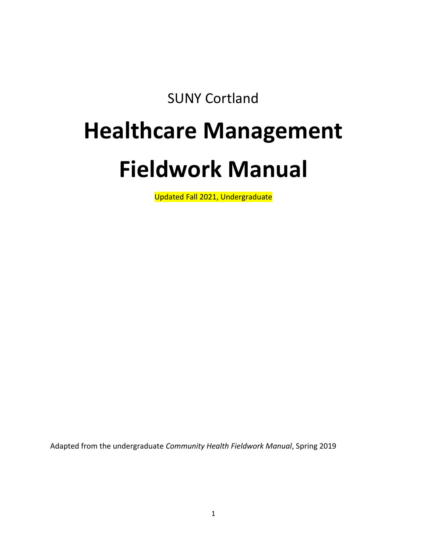SUNY Cortland

# **Healthcare Management**

# **Fieldwork Manual**

Updated Fall 2021, Undergraduate

Adapted from the undergraduate *Community Health Fieldwork Manual*, Spring 2019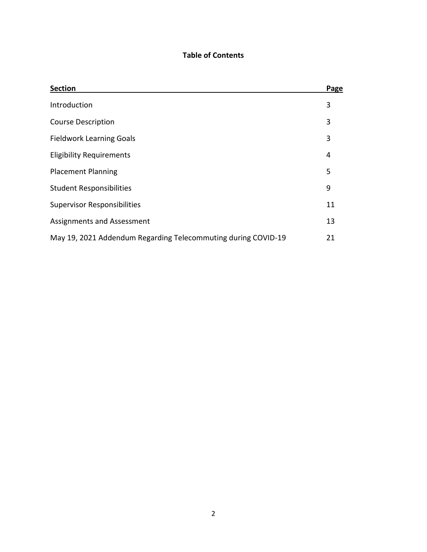# **Table of Contents**

| <b>Section</b>                                                | Page |
|---------------------------------------------------------------|------|
| Introduction                                                  | 3    |
| <b>Course Description</b>                                     | 3    |
| <b>Fieldwork Learning Goals</b>                               | 3    |
| <b>Eligibility Requirements</b>                               | 4    |
| <b>Placement Planning</b>                                     | 5    |
| <b>Student Responsibilities</b>                               | 9    |
| <b>Supervisor Responsibilities</b>                            | 11   |
| Assignments and Assessment                                    | 13   |
| May 19, 2021 Addendum Regarding Telecommuting during COVID-19 | 21   |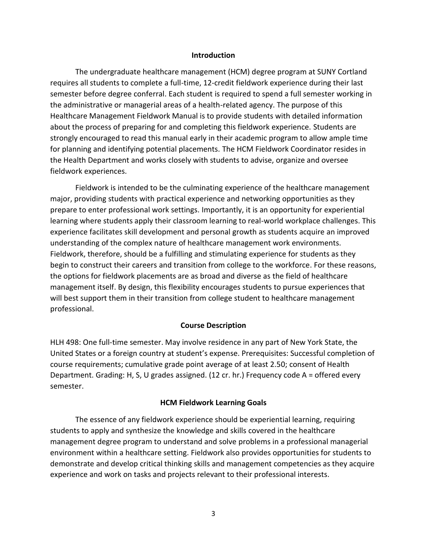#### **Introduction**

The undergraduate healthcare management (HCM) degree program at SUNY Cortland requires all students to complete a full-time, 12-credit fieldwork experience during their last semester before degree conferral. Each student is required to spend a full semester working in the administrative or managerial areas of a health-related agency. The purpose of this Healthcare Management Fieldwork Manual is to provide students with detailed information about the process of preparing for and completing this fieldwork experience. Students are strongly encouraged to read this manual early in their academic program to allow ample time for planning and identifying potential placements. The HCM Fieldwork Coordinator resides in the Health Department and works closely with students to advise, organize and oversee fieldwork experiences.

Fieldwork is intended to be the culminating experience of the healthcare management major, providing students with practical experience and networking opportunities as they prepare to enter professional work settings. Importantly, it is an opportunity for experiential learning where students apply their classroom learning to real-world workplace challenges. This experience facilitates skill development and personal growth as students acquire an improved understanding of the complex nature of healthcare management work environments. Fieldwork, therefore, should be a fulfilling and stimulating experience for students as they begin to construct their careers and transition from college to the workforce. For these reasons, the options for fieldwork placements are as broad and diverse as the field of healthcare management itself. By design, this flexibility encourages students to pursue experiences that will best support them in their transition from college student to healthcare management professional.

#### **Course Description**

HLH 498: One full-time semester. May involve residence in any part of New York State, the United States or a foreign country at student's expense. Prerequisites: Successful completion of course requirements; cumulative grade point average of at least 2.50; consent of Health Department. Grading: H, S, U grades assigned. (12 cr. hr.) Frequency code A = offered every semester.

#### **HCM Fieldwork Learning Goals**

The essence of any fieldwork experience should be experiential learning, requiring students to apply and synthesize the knowledge and skills covered in the healthcare management degree program to understand and solve problems in a professional managerial environment within a healthcare setting. Fieldwork also provides opportunities for students to demonstrate and develop critical thinking skills and management competencies as they acquire experience and work on tasks and projects relevant to their professional interests.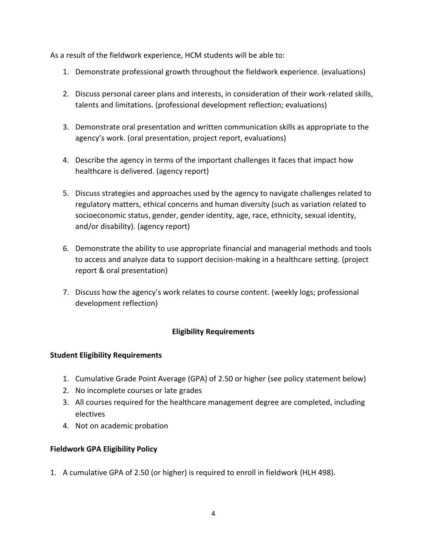As a result of the fieldwork experience, HCM students will be able to:

- 1. Demonstrate professional growth throughout the fieldwork experience. (evaluations)
- 2. Discuss personal career plans and interests, in consideration of their work-related skills, talents and limitations. (professional development reflection; evaluations)
- 3. Demonstrate oral presentation and written communication skills as appropriate to the agency's work. (oral presentation, project report, evaluations)
- 4. Describe the agency in terms of the important challenges it faces that impact how healthcare is delivered. (agency report)
- 5. Discuss strategies and approaches used by the agency to navigate challenges related to regulatory matters, ethical concerns and human diversity (such as variation related to socioeconomic status, gender, gender identity, age, race, ethnicity, sexual identity, and/or disability). (agency report)
- 6. Demonstrate the ability to use appropriate financial and managerial methods and tools to access and analyze data to support decision-making in a healthcare setting. (project report & oral presentation)
- 7. Discuss how the agency's work relates to course content. (weekly logs; professional development reflection)

# **Eligibility Requirements**

# **Student Eligibility Requirements**

- 1. Cumulative Grade Point Average (GPA) of 2.50 or higher (see policy statement below)
- 2. No incomplete courses or late grades
- 3. All courses required for the healthcare management degree are completed, including electives
- 4. Not on academic probation

# **Fieldwork GPA Eligibility Policy**

1. A cumulative GPA of 2.50 (or higher) is required to enroll in fieldwork (HLH 498).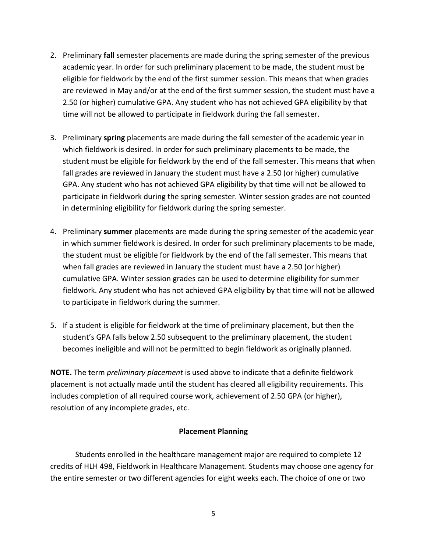- 2. Preliminary **fall** semester placements are made during the spring semester of the previous academic year. In order for such preliminary placement to be made, the student must be eligible for fieldwork by the end of the first summer session. This means that when grades are reviewed in May and/or at the end of the first summer session, the student must have a 2.50 (or higher) cumulative GPA. Any student who has not achieved GPA eligibility by that time will not be allowed to participate in fieldwork during the fall semester.
- 3. Preliminary **spring** placements are made during the fall semester of the academic year in which fieldwork is desired. In order for such preliminary placements to be made, the student must be eligible for fieldwork by the end of the fall semester. This means that when fall grades are reviewed in January the student must have a 2.50 (or higher) cumulative GPA. Any student who has not achieved GPA eligibility by that time will not be allowed to participate in fieldwork during the spring semester. Winter session grades are not counted in determining eligibility for fieldwork during the spring semester.
- 4. Preliminary **summer** placements are made during the spring semester of the academic year in which summer fieldwork is desired. In order for such preliminary placements to be made, the student must be eligible for fieldwork by the end of the fall semester. This means that when fall grades are reviewed in January the student must have a 2.50 (or higher) cumulative GPA. Winter session grades can be used to determine eligibility for summer fieldwork. Any student who has not achieved GPA eligibility by that time will not be allowed to participate in fieldwork during the summer.
- 5. If a student is eligible for fieldwork at the time of preliminary placement, but then the student's GPA falls below 2.50 subsequent to the preliminary placement, the student becomes ineligible and will not be permitted to begin fieldwork as originally planned.

**NOTE.** The term *preliminary placement* is used above to indicate that a definite fieldwork placement is not actually made until the student has cleared all eligibility requirements. This includes completion of all required course work, achievement of 2.50 GPA (or higher), resolution of any incomplete grades, etc.

## **Placement Planning**

Students enrolled in the healthcare management major are required to complete 12 credits of HLH 498, Fieldwork in Healthcare Management. Students may choose one agency for the entire semester or two different agencies for eight weeks each. The choice of one or two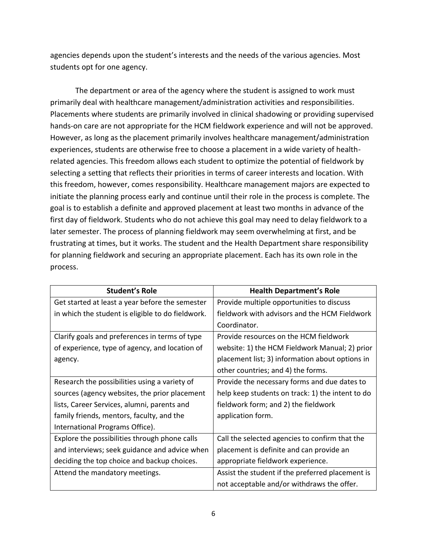agencies depends upon the student's interests and the needs of the various agencies. Most students opt for one agency.

The department or area of the agency where the student is assigned to work must primarily deal with healthcare management/administration activities and responsibilities. Placements where students are primarily involved in clinical shadowing or providing supervised hands-on care are not appropriate for the HCM fieldwork experience and will not be approved. However, as long as the placement primarily involves healthcare management/administration experiences, students are otherwise free to choose a placement in a wide variety of healthrelated agencies. This freedom allows each student to optimize the potential of fieldwork by selecting a setting that reflects their priorities in terms of career interests and location. With this freedom, however, comes responsibility. Healthcare management majors are expected to initiate the planning process early and continue until their role in the process is complete. The goal is to establish a definite and approved placement at least two months in advance of the first day of fieldwork. Students who do not achieve this goal may need to delay fieldwork to a later semester. The process of planning fieldwork may seem overwhelming at first, and be frustrating at times, but it works. The student and the Health Department share responsibility for planning fieldwork and securing an appropriate placement. Each has its own role in the process.

| <b>Student's Role</b>                             | <b>Health Department's Role</b>                  |  |
|---------------------------------------------------|--------------------------------------------------|--|
| Get started at least a year before the semester   | Provide multiple opportunities to discuss        |  |
| in which the student is eligible to do fieldwork. | fieldwork with advisors and the HCM Fieldwork    |  |
|                                                   | Coordinator.                                     |  |
| Clarify goals and preferences in terms of type    | Provide resources on the HCM fieldwork           |  |
| of experience, type of agency, and location of    | website: 1) the HCM Fieldwork Manual; 2) prior   |  |
| agency.                                           | placement list; 3) information about options in  |  |
|                                                   | other countries; and 4) the forms.               |  |
| Research the possibilities using a variety of     | Provide the necessary forms and due dates to     |  |
| sources (agency websites, the prior placement     | help keep students on track: 1) the intent to do |  |
| lists, Career Services, alumni, parents and       | fieldwork form; and 2) the fieldwork             |  |
| family friends, mentors, faculty, and the         | application form.                                |  |
| International Programs Office).                   |                                                  |  |
| Explore the possibilities through phone calls     | Call the selected agencies to confirm that the   |  |
| and interviews; seek guidance and advice when     | placement is definite and can provide an         |  |
| deciding the top choice and backup choices.       | appropriate fieldwork experience.                |  |
| Attend the mandatory meetings.                    | Assist the student if the preferred placement is |  |
|                                                   | not acceptable and/or withdraws the offer.       |  |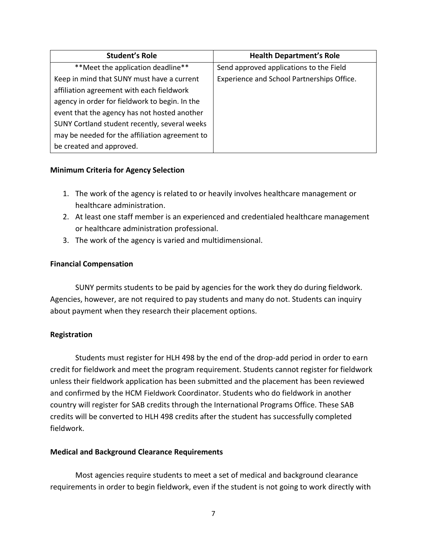| <b>Student's Role</b>                          | <b>Health Department's Role</b>            |
|------------------------------------------------|--------------------------------------------|
| ** Meet the application deadline**             | Send approved applications to the Field    |
| Keep in mind that SUNY must have a current     | Experience and School Partnerships Office. |
| affiliation agreement with each fieldwork      |                                            |
| agency in order for fieldwork to begin. In the |                                            |
| event that the agency has not hosted another   |                                            |
| SUNY Cortland student recently, several weeks  |                                            |
| may be needed for the affiliation agreement to |                                            |
| be created and approved.                       |                                            |

## **Minimum Criteria for Agency Selection**

- 1. The work of the agency is related to or heavily involves healthcare management or healthcare administration.
- 2. At least one staff member is an experienced and credentialed healthcare management or healthcare administration professional.
- 3. The work of the agency is varied and multidimensional.

## **Financial Compensation**

SUNY permits students to be paid by agencies for the work they do during fieldwork. Agencies, however, are not required to pay students and many do not. Students can inquiry about payment when they research their placement options.

## **Registration**

Students must register for HLH 498 by the end of the drop-add period in order to earn credit for fieldwork and meet the program requirement. Students cannot register for fieldwork unless their fieldwork application has been submitted and the placement has been reviewed and confirmed by the HCM Fieldwork Coordinator. Students who do fieldwork in another country will register for SAB credits through the International Programs Office. These SAB credits will be converted to HLH 498 credits after the student has successfully completed fieldwork.

## **Medical and Background Clearance Requirements**

Most agencies require students to meet a set of medical and background clearance requirements in order to begin fieldwork, even if the student is not going to work directly with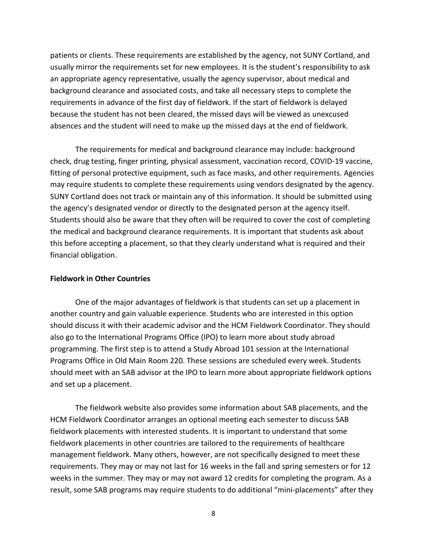patients or clients. These requirements are established by the agency, not SUNY Cortland, and usually mirror the requirements set for new employees. It is the student's responsibility to ask an appropriate agency representative, usually the agency supervisor, about medical and background clearance and associated costs, and take all necessary steps to complete the requirements in advance of the first day of fieldwork. If the start of fieldwork is delayed because the student has not been cleared, the missed days will be viewed as unexcused absences and the student will need to make up the missed days at the end of fieldwork.

The requirements for medical and background clearance may include: background check, drug testing, finger printing, physical assessment, vaccination record, COVID-19 vaccine, fitting of personal protective equipment, such as face masks, and other requirements. Agencies may require students to complete these requirements using vendors designated by the agency. SUNY Cortland does not track or maintain any of this information. It should be submitted using the agency's designated vendor or directly to the designated person at the agency itself. Students should also be aware that they often will be required to cover the cost of completing the medical and background clearance requirements. It is important that students ask about this before accepting a placement, so that they clearly understand what is required and their financial obligation.

#### **Fieldwork in Other Countries**

One of the major advantages of fieldwork is that students can set up a placement in another country and gain valuable experience. Students who are interested in this option should discuss it with their academic advisor and the HCM Fieldwork Coordinator. They should also go to the International Programs Office (IPO) to learn more about study abroad programming. The first step is to attend a Study Abroad 101 session at the International Programs Office in Old Main Room 220. These sessions are scheduled every week. Students should meet with an SAB advisor at the IPO to learn more about appropriate fieldwork options and set up a placement.

The fieldwork website also provides some information about SAB placements, and the HCM Fieldwork Coordinator arranges an optional meeting each semester to discuss SAB fieldwork placements with interested students. It is important to understand that some fieldwork placements in other countries are tailored to the requirements of healthcare management fieldwork. Many others, however, are not specifically designed to meet these requirements. They may or may not last for 16 weeks in the fall and spring semesters or for 12 weeks in the summer. They may or may not award 12 credits for completing the program. As a result, some SAB programs may require students to do additional "mini-placements" after they

8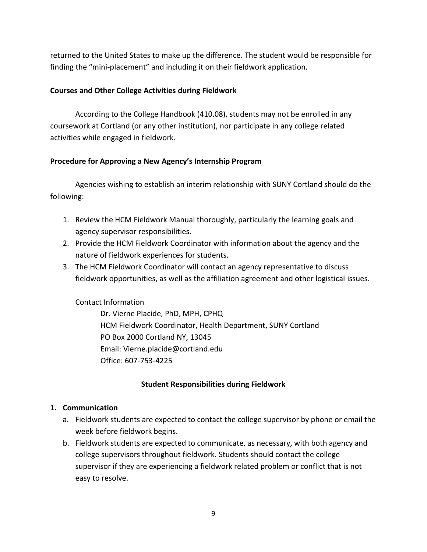returned to the United States to make up the difference. The student would be responsible for finding the "mini-placement" and including it on their fieldwork application.

## **Courses and Other College Activities during Fieldwork**

According to the College Handbook (410.08), students may not be enrolled in any coursework at Cortland (or any other institution), nor participate in any college related activities while engaged in fieldwork.

## **Procedure for Approving a New Agency's Internship Program**

Agencies wishing to establish an interim relationship with SUNY Cortland should do the following:

- 1. Review the HCM Fieldwork Manual thoroughly, particularly the learning goals and agency supervisor responsibilities.
- 2. Provide the HCM Fieldwork Coordinator with information about the agency and the nature of fieldwork experiences for students.
- 3. The HCM Fieldwork Coordinator will contact an agency representative to discuss fieldwork opportunities, as well as the affiliation agreement and other logistical issues.

## Contact Information

Dr. Vierne Placide, PhD, MPH, CPHQ HCM Fieldwork Coordinator, Health Department, SUNY Cortland PO Box 2000 Cortland NY, 13045 Email: Vierne.placide@cortland.edu Office: 607-753-4225

## **Student Responsibilities during Fieldwork**

## **1. Communication**

- a. Fieldwork students are expected to contact the college supervisor by phone or email the week before fieldwork begins.
- b. Fieldwork students are expected to communicate, as necessary, with both agency and college supervisors throughout fieldwork. Students should contact the college supervisor if they are experiencing a fieldwork related problem or conflict that is not easy to resolve.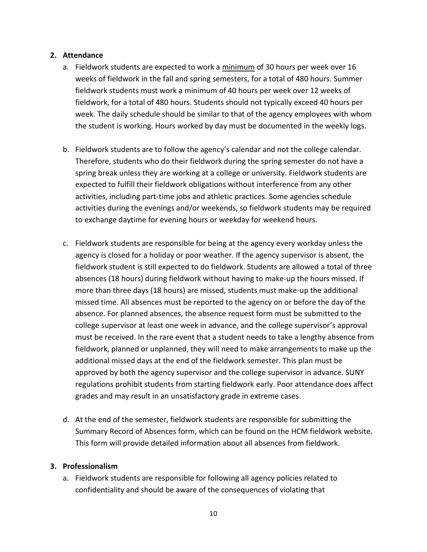## **2. Attendance**

- a. Fieldwork students are expected to work a minimum of 30 hours per week over 16 weeks of fieldwork in the fall and spring semesters, for a total of 480 hours. Summer fieldwork students must work a minimum of 40 hours per week over 12 weeks of fieldwork, for a total of 480 hours. Students should not typically exceed 40 hours per week. The daily schedule should be similar to that of the agency employees with whom the student is working. Hours worked by day must be documented in the weekly logs.
- b. Fieldwork students are to follow the agency's calendar and not the college calendar. Therefore, students who do their fieldwork during the spring semester do not have a spring break unless they are working at a college or university. Fieldwork students are expected to fulfill their fieldwork obligations without interference from any other activities, including part-time jobs and athletic practices. Some agencies schedule activities during the evenings and/or weekends, so fieldwork students may be required to exchange daytime for evening hours or weekday for weekend hours.
- c. Fieldwork students are responsible for being at the agency every workday unless the agency is closed for a holiday or poor weather. If the agency supervisor is absent, the fieldwork student is still expected to do fieldwork. Students are allowed a total of three absences (18 hours) during fieldwork without having to make-up the hours missed. If more than three days (18 hours) are missed, students must make-up the additional missed time. All absences must be reported to the agency on or before the day of the absence. For planned absences, the absence request form must be submitted to the college supervisor at least one week in advance, and the college supervisor's approval must be received. In the rare event that a student needs to take a lengthy absence from fieldwork, planned or unplanned, they will need to make arrangements to make up the additional missed days at the end of the fieldwork semester. This plan must be approved by both the agency supervisor and the college supervisor in advance. SUNY regulations prohibit students from starting fieldwork early. Poor attendance does affect grades and may result in an unsatisfactory grade in extreme cases.
- d. At the end of the semester, fieldwork students are responsible for submitting the Summary Record of Absences form, which can be found on the HCM fieldwork website. This form will provide detailed information about all absences from fieldwork.

## **3. Professionalism**

a. Fieldwork students are responsible for following all agency policies related to confidentiality and should be aware of the consequences of violating that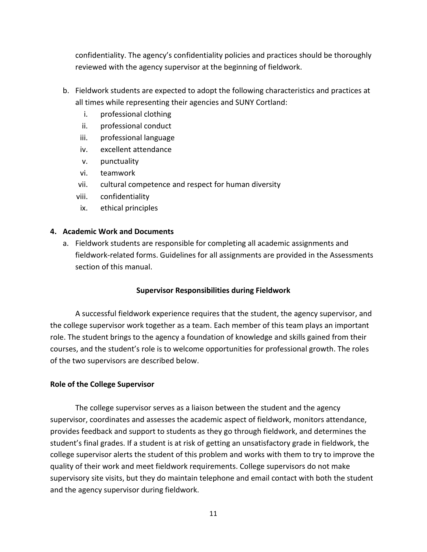confidentiality. The agency's confidentiality policies and practices should be thoroughly reviewed with the agency supervisor at the beginning of fieldwork.

- b. Fieldwork students are expected to adopt the following characteristics and practices at all times while representing their agencies and SUNY Cortland:
	- i. professional clothing
	- ii. professional conduct
	- iii. professional language
	- iv. excellent attendance
	- v. punctuality
	- vi. teamwork
	- vii. cultural competence and respect for human diversity
	- viii. confidentiality
	- ix. ethical principles

## **4. Academic Work and Documents**

a. Fieldwork students are responsible for completing all academic assignments and fieldwork-related forms. Guidelines for all assignments are provided in the Assessments section of this manual.

## **Supervisor Responsibilities during Fieldwork**

A successful fieldwork experience requires that the student, the agency supervisor, and the college supervisor work together as a team. Each member of this team plays an important role. The student brings to the agency a foundation of knowledge and skills gained from their courses, and the student's role is to welcome opportunities for professional growth. The roles of the two supervisors are described below.

## **Role of the College Supervisor**

The college supervisor serves as a liaison between the student and the agency supervisor, coordinates and assesses the academic aspect of fieldwork, monitors attendance, provides feedback and support to students as they go through fieldwork, and determines the student's final grades. If a student is at risk of getting an unsatisfactory grade in fieldwork, the college supervisor alerts the student of this problem and works with them to try to improve the quality of their work and meet fieldwork requirements. College supervisors do not make supervisory site visits, but they do maintain telephone and email contact with both the student and the agency supervisor during fieldwork.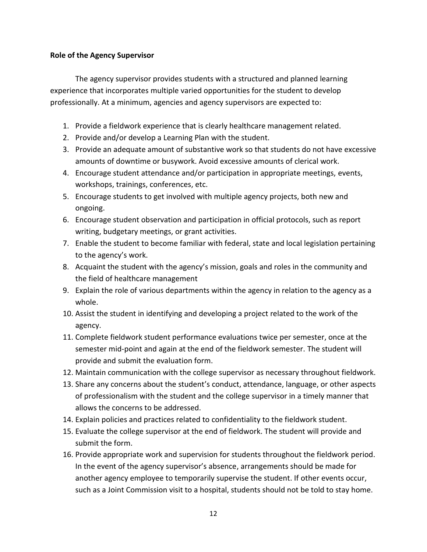## **Role of the Agency Supervisor**

The agency supervisor provides students with a structured and planned learning experience that incorporates multiple varied opportunities for the student to develop professionally. At a minimum, agencies and agency supervisors are expected to:

- 1. Provide a fieldwork experience that is clearly healthcare management related.
- 2. Provide and/or develop a Learning Plan with the student.
- 3. Provide an adequate amount of substantive work so that students do not have excessive amounts of downtime or busywork. Avoid excessive amounts of clerical work.
- 4. Encourage student attendance and/or participation in appropriate meetings, events, workshops, trainings, conferences, etc.
- 5. Encourage students to get involved with multiple agency projects, both new and ongoing.
- 6. Encourage student observation and participation in official protocols, such as report writing, budgetary meetings, or grant activities.
- 7. Enable the student to become familiar with federal, state and local legislation pertaining to the agency's work.
- 8. Acquaint the student with the agency's mission, goals and roles in the community and the field of healthcare management
- 9. Explain the role of various departments within the agency in relation to the agency as a whole.
- 10. Assist the student in identifying and developing a project related to the work of the agency.
- 11. Complete fieldwork student performance evaluations twice per semester, once at the semester mid-point and again at the end of the fieldwork semester. The student will provide and submit the evaluation form.
- 12. Maintain communication with the college supervisor as necessary throughout fieldwork.
- 13. Share any concerns about the student's conduct, attendance, language, or other aspects of professionalism with the student and the college supervisor in a timely manner that allows the concerns to be addressed.
- 14. Explain policies and practices related to confidentiality to the fieldwork student.
- 15. Evaluate the college supervisor at the end of fieldwork. The student will provide and submit the form.
- 16. Provide appropriate work and supervision for students throughout the fieldwork period. In the event of the agency supervisor's absence, arrangements should be made for another agency employee to temporarily supervise the student. If other events occur, such as a Joint Commission visit to a hospital, students should not be told to stay home.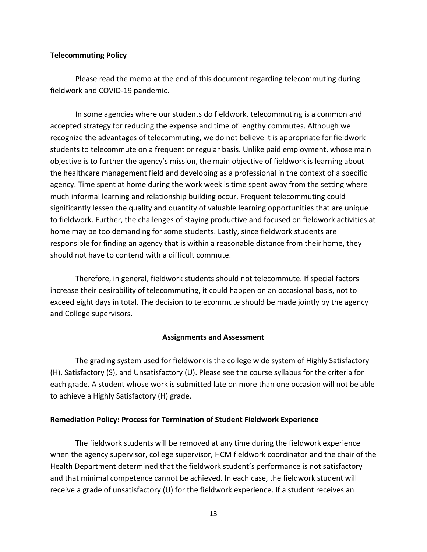#### **Telecommuting Policy**

Please read the memo at the end of this document regarding telecommuting during fieldwork and COVID-19 pandemic.

In some agencies where our students do fieldwork, telecommuting is a common and accepted strategy for reducing the expense and time of lengthy commutes. Although we recognize the advantages of telecommuting, we do not believe it is appropriate for fieldwork students to telecommute on a frequent or regular basis. Unlike paid employment, whose main objective is to further the agency's mission, the main objective of fieldwork is learning about the healthcare management field and developing as a professional in the context of a specific agency. Time spent at home during the work week is time spent away from the setting where much informal learning and relationship building occur. Frequent telecommuting could significantly lessen the quality and quantity of valuable learning opportunities that are unique to fieldwork. Further, the challenges of staying productive and focused on fieldwork activities at home may be too demanding for some students. Lastly, since fieldwork students are responsible for finding an agency that is within a reasonable distance from their home, they should not have to contend with a difficult commute.

Therefore, in general, fieldwork students should not telecommute. If special factors increase their desirability of telecommuting, it could happen on an occasional basis, not to exceed eight days in total. The decision to telecommute should be made jointly by the agency and College supervisors.

#### **Assignments and Assessment**

The grading system used for fieldwork is the college wide system of Highly Satisfactory (H), Satisfactory (S), and Unsatisfactory (U). Please see the course syllabus for the criteria for each grade. A student whose work is submitted late on more than one occasion will not be able to achieve a Highly Satisfactory (H) grade.

#### **Remediation Policy: Process for Termination of Student Fieldwork Experience**

The fieldwork students will be removed at any time during the fieldwork experience when the agency supervisor, college supervisor, HCM fieldwork coordinator and the chair of the Health Department determined that the fieldwork student's performance is not satisfactory and that minimal competence cannot be achieved. In each case, the fieldwork student will receive a grade of unsatisfactory (U) for the fieldwork experience. If a student receives an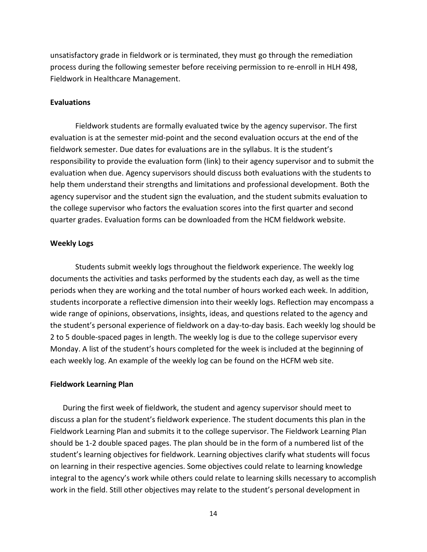unsatisfactory grade in fieldwork or is terminated, they must go through the remediation process during the following semester before receiving permission to re-enroll in HLH 498, Fieldwork in Healthcare Management.

#### **Evaluations**

Fieldwork students are formally evaluated twice by the agency supervisor. The first evaluation is at the semester mid-point and the second evaluation occurs at the end of the fieldwork semester. Due dates for evaluations are in the syllabus. It is the student's responsibility to provide the evaluation form (link) to their agency supervisor and to submit the evaluation when due. Agency supervisors should discuss both evaluations with the students to help them understand their strengths and limitations and professional development. Both the agency supervisor and the student sign the evaluation, and the student submits evaluation to the college supervisor who factors the evaluation scores into the first quarter and second quarter grades. Evaluation forms can be downloaded from the HCM fieldwork website.

#### **Weekly Logs**

Students submit weekly logs throughout the fieldwork experience. The weekly log documents the activities and tasks performed by the students each day, as well as the time periods when they are working and the total number of hours worked each week. In addition, students incorporate a reflective dimension into their weekly logs. Reflection may encompass a wide range of opinions, observations, insights, ideas, and questions related to the agency and the student's personal experience of fieldwork on a day-to-day basis. Each weekly log should be 2 to 5 double-spaced pages in length. The weekly log is due to the college supervisor every Monday. A list of the student's hours completed for the week is included at the beginning of each weekly log. An example of the weekly log can be found on the HCFM web site.

#### **Fieldwork Learning Plan**

During the first week of fieldwork, the student and agency supervisor should meet to discuss a plan for the student's fieldwork experience. The student documents this plan in the Fieldwork Learning Plan and submits it to the college supervisor. The Fieldwork Learning Plan should be 1-2 double spaced pages. The plan should be in the form of a numbered list of the student's learning objectives for fieldwork. Learning objectives clarify what students will focus on learning in their respective agencies. Some objectives could relate to learning knowledge integral to the agency's work while others could relate to learning skills necessary to accomplish work in the field. Still other objectives may relate to the student's personal development in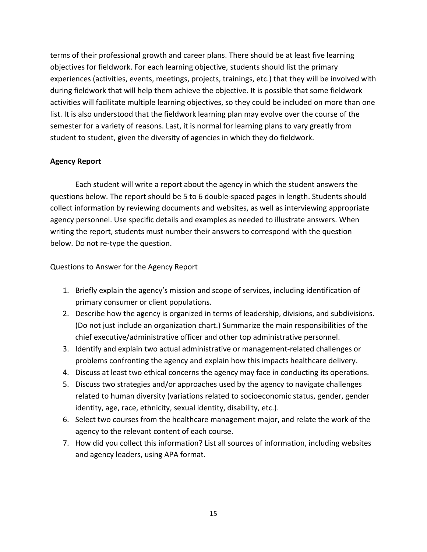terms of their professional growth and career plans. There should be at least five learning objectives for fieldwork. For each learning objective, students should list the primary experiences (activities, events, meetings, projects, trainings, etc.) that they will be involved with during fieldwork that will help them achieve the objective. It is possible that some fieldwork activities will facilitate multiple learning objectives, so they could be included on more than one list. It is also understood that the fieldwork learning plan may evolve over the course of the semester for a variety of reasons. Last, it is normal for learning plans to vary greatly from student to student, given the diversity of agencies in which they do fieldwork.

## **Agency Report**

Each student will write a report about the agency in which the student answers the questions below. The report should be 5 to 6 double-spaced pages in length. Students should collect information by reviewing documents and websites, as well as interviewing appropriate agency personnel. Use specific details and examples as needed to illustrate answers. When writing the report, students must number their answers to correspond with the question below. Do not re-type the question.

Questions to Answer for the Agency Report

- 1. Briefly explain the agency's mission and scope of services, including identification of primary consumer or client populations.
- 2. Describe how the agency is organized in terms of leadership, divisions, and subdivisions. (Do not just include an organization chart.) Summarize the main responsibilities of the chief executive/administrative officer and other top administrative personnel.
- 3. Identify and explain two actual administrative or management-related challenges or problems confronting the agency and explain how this impacts healthcare delivery.
- 4. Discuss at least two ethical concerns the agency may face in conducting its operations.
- 5. Discuss two strategies and/or approaches used by the agency to navigate challenges related to human diversity (variations related to socioeconomic status, gender, gender identity, age, race, ethnicity, sexual identity, disability, etc.).
- 6. Select two courses from the healthcare management major, and relate the work of the agency to the relevant content of each course.
- 7. How did you collect this information? List all sources of information, including websites and agency leaders, using APA format.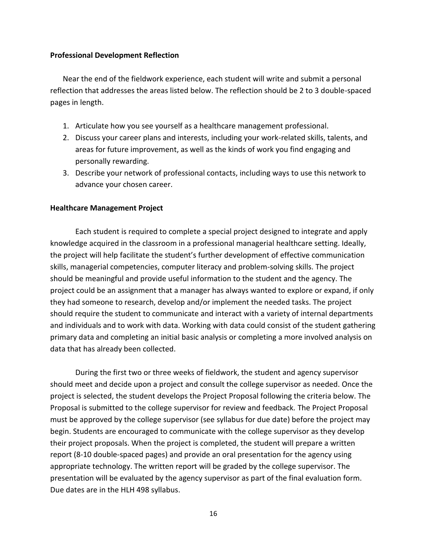### **Professional Development Reflection**

Near the end of the fieldwork experience, each student will write and submit a personal reflection that addresses the areas listed below. The reflection should be 2 to 3 double-spaced pages in length.

- 1. Articulate how you see yourself as a healthcare management professional.
- 2. Discuss your career plans and interests, including your work-related skills, talents, and areas for future improvement, as well as the kinds of work you find engaging and personally rewarding.
- 3. Describe your network of professional contacts, including ways to use this network to advance your chosen career.

#### **Healthcare Management Project**

Each student is required to complete a special project designed to integrate and apply knowledge acquired in the classroom in a professional managerial healthcare setting. Ideally, the project will help facilitate the student's further development of effective communication skills, managerial competencies, computer literacy and problem-solving skills. The project should be meaningful and provide useful information to the student and the agency. The project could be an assignment that a manager has always wanted to explore or expand, if only they had someone to research, develop and/or implement the needed tasks. The project should require the student to communicate and interact with a variety of internal departments and individuals and to work with data. Working with data could consist of the student gathering primary data and completing an initial basic analysis or completing a more involved analysis on data that has already been collected.

During the first two or three weeks of fieldwork, the student and agency supervisor should meet and decide upon a project and consult the college supervisor as needed. Once the project is selected, the student develops the Project Proposal following the criteria below. The Proposal is submitted to the college supervisor for review and feedback. The Project Proposal must be approved by the college supervisor (see syllabus for due date) before the project may begin. Students are encouraged to communicate with the college supervisor as they develop their project proposals. When the project is completed, the student will prepare a written report (8-10 double-spaced pages) and provide an oral presentation for the agency using appropriate technology. The written report will be graded by the college supervisor. The presentation will be evaluated by the agency supervisor as part of the final evaluation form. Due dates are in the HLH 498 syllabus.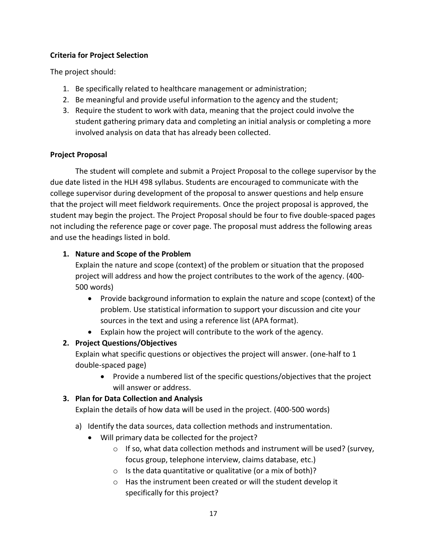## **Criteria for Project Selection**

The project should:

- 1. Be specifically related to healthcare management or administration;
- 2. Be meaningful and provide useful information to the agency and the student;
- 3. Require the student to work with data, meaning that the project could involve the student gathering primary data and completing an initial analysis or completing a more involved analysis on data that has already been collected.

# **Project Proposal**

The student will complete and submit a Project Proposal to the college supervisor by the due date listed in the HLH 498 syllabus. Students are encouraged to communicate with the college supervisor during development of the proposal to answer questions and help ensure that the project will meet fieldwork requirements. Once the project proposal is approved, the student may begin the project. The Project Proposal should be four to five double-spaced pages not including the reference page or cover page. The proposal must address the following areas and use the headings listed in bold.

## **1. Nature and Scope of the Problem**

Explain the nature and scope (context) of the problem or situation that the proposed project will address and how the project contributes to the work of the agency. (400- 500 words)

- Provide background information to explain the nature and scope (context) of the problem. Use statistical information to support your discussion and cite your sources in the text and using a reference list (APA format).
- Explain how the project will contribute to the work of the agency.

# **2. Project Questions/Objectives**

Explain what specific questions or objectives the project will answer. (one-half to 1 double-spaced page)

 Provide a numbered list of the specific questions/objectives that the project will answer or address.

# **3. Plan for Data Collection and Analysis**

Explain the details of how data will be used in the project. (400-500 words)

- a) Identify the data sources, data collection methods and instrumentation.
	- Will primary data be collected for the project?
		- $\circ$  If so, what data collection methods and instrument will be used? (survey, focus group, telephone interview, claims database, etc.)
		- o Is the data quantitative or qualitative (or a mix of both)?
		- o Has the instrument been created or will the student develop it specifically for this project?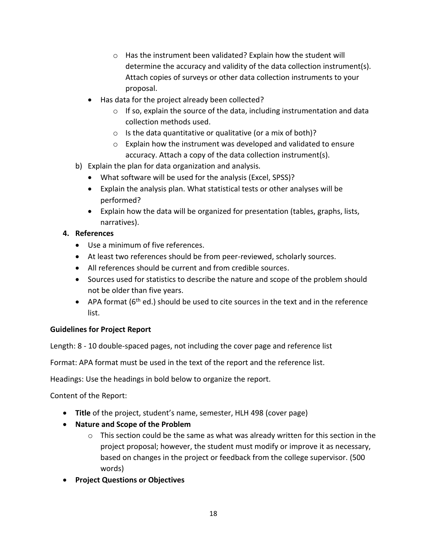- o Has the instrument been validated? Explain how the student will determine the accuracy and validity of the data collection instrument(s). Attach copies of surveys or other data collection instruments to your proposal.
- Has data for the project already been collected?
	- o If so, explain the source of the data, including instrumentation and data collection methods used.
	- $\circ$  Is the data quantitative or qualitative (or a mix of both)?
	- $\circ$  Explain how the instrument was developed and validated to ensure accuracy. Attach a copy of the data collection instrument(s).
- b) Explain the plan for data organization and analysis.
	- What software will be used for the analysis (Excel, SPSS)?
	- Explain the analysis plan. What statistical tests or other analyses will be performed?
	- Explain how the data will be organized for presentation (tables, graphs, lists, narratives).

## **4. References**

- Use a minimum of five references.
- At least two references should be from peer-reviewed, scholarly sources.
- All references should be current and from credible sources.
- Sources used for statistics to describe the nature and scope of the problem should not be older than five years.
- $\bullet$  APA format (6<sup>th</sup> ed.) should be used to cite sources in the text and in the reference list.

## **Guidelines for Project Report**

Length: 8 - 10 double-spaced pages, not including the cover page and reference list

Format: APA format must be used in the text of the report and the reference list.

Headings: Use the headings in bold below to organize the report.

Content of the Report:

- **Title** of the project, student's name, semester, HLH 498 (cover page)
- **Nature and Scope of the Problem**
	- $\circ$  This section could be the same as what was already written for this section in the project proposal; however, the student must modify or improve it as necessary, based on changes in the project or feedback from the college supervisor. (500 words)
- **Project Questions or Objectives**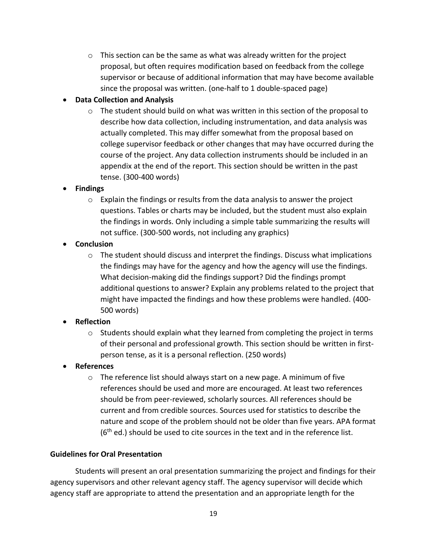$\circ$  This section can be the same as what was already written for the project proposal, but often requires modification based on feedback from the college supervisor or because of additional information that may have become available since the proposal was written. (one-half to 1 double-spaced page)

# **Data Collection and Analysis**

o The student should build on what was written in this section of the proposal to describe how data collection, including instrumentation, and data analysis was actually completed. This may differ somewhat from the proposal based on college supervisor feedback or other changes that may have occurred during the course of the project. Any data collection instruments should be included in an appendix at the end of the report. This section should be written in the past tense. (300-400 words)

# **Findings**

 $\circ$  Explain the findings or results from the data analysis to answer the project questions. Tables or charts may be included, but the student must also explain the findings in words. Only including a simple table summarizing the results will not suffice. (300-500 words, not including any graphics)

# **•** Conclusion

 $\circ$  The student should discuss and interpret the findings. Discuss what implications the findings may have for the agency and how the agency will use the findings. What decision-making did the findings support? Did the findings prompt additional questions to answer? Explain any problems related to the project that might have impacted the findings and how these problems were handled. (400- 500 words)

# **Reflection**

- o Students should explain what they learned from completing the project in terms of their personal and professional growth. This section should be written in firstperson tense, as it is a personal reflection. (250 words)
- **References**
	- o The reference list should always start on a new page. A minimum of five references should be used and more are encouraged. At least two references should be from peer-reviewed, scholarly sources. All references should be current and from credible sources. Sources used for statistics to describe the nature and scope of the problem should not be older than five years. APA format  $(6<sup>th</sup>$  ed.) should be used to cite sources in the text and in the reference list.

# **Guidelines for Oral Presentation**

Students will present an oral presentation summarizing the project and findings for their agency supervisors and other relevant agency staff. The agency supervisor will decide which agency staff are appropriate to attend the presentation and an appropriate length for the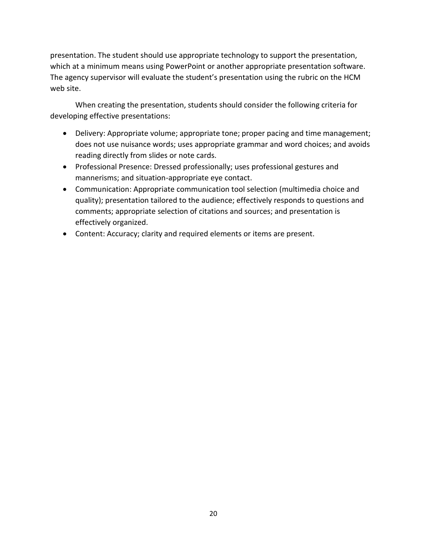presentation. The student should use appropriate technology to support the presentation, which at a minimum means using PowerPoint or another appropriate presentation software. The agency supervisor will evaluate the student's presentation using the rubric on the HCM web site.

When creating the presentation, students should consider the following criteria for developing effective presentations:

- Delivery: Appropriate volume; appropriate tone; proper pacing and time management; does not use nuisance words; uses appropriate grammar and word choices; and avoids reading directly from slides or note cards.
- Professional Presence: Dressed professionally; uses professional gestures and mannerisms; and situation-appropriate eye contact.
- Communication: Appropriate communication tool selection (multimedia choice and quality); presentation tailored to the audience; effectively responds to questions and comments; appropriate selection of citations and sources; and presentation is effectively organized.
- Content: Accuracy; clarity and required elements or items are present.